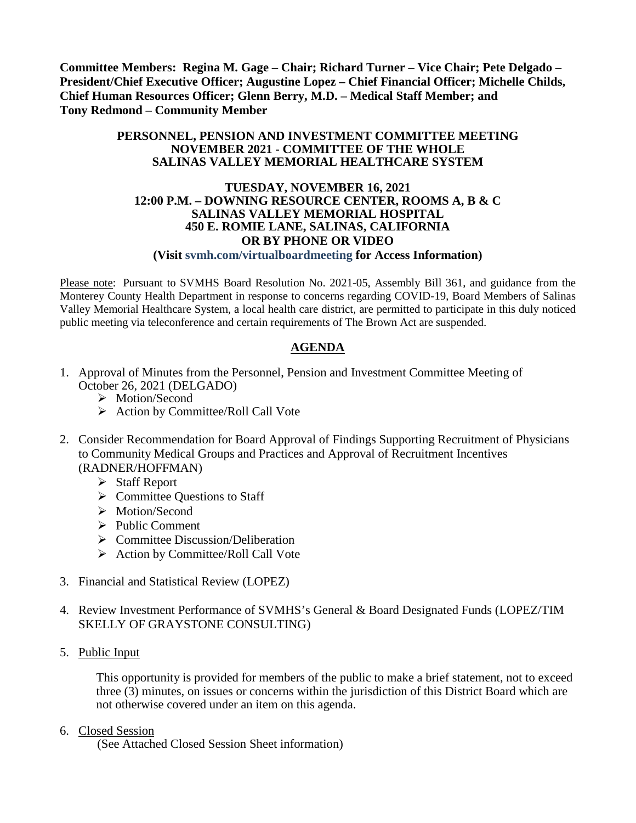**Committee Members: Regina M. Gage – Chair; Richard Turner – Vice Chair; Pete Delgado – President/Chief Executive Officer; Augustine Lopez – Chief Financial Officer; Michelle Childs, Chief Human Resources Officer; Glenn Berry, M.D. – Medical Staff Member; and Tony Redmond – Community Member**

#### **PERSONNEL, PENSION AND INVESTMENT COMMITTEE MEETING NOVEMBER 2021 - COMMITTEE OF THE WHOLE SALINAS VALLEY MEMORIAL HEALTHCARE SYSTEM**

### **TUESDAY, NOVEMBER 16, 2021 12:00 P.M. – DOWNING RESOURCE CENTER, ROOMS A, B & C SALINAS VALLEY MEMORIAL HOSPITAL 450 E. ROMIE LANE, SALINAS, CALIFORNIA OR BY PHONE OR VIDEO**

#### **(Visit svmh.com/virtualboardmeeting for Access Information)**

Please note: Pursuant to SVMHS Board Resolution No. 2021-05, Assembly Bill 361, and guidance from the Monterey County Health Department in response to concerns regarding COVID-19, Board Members of Salinas Valley Memorial Healthcare System, a local health care district, are permitted to participate in this duly noticed public meeting via teleconference and certain requirements of The Brown Act are suspended.

## **AGENDA**

- 1. Approval of Minutes from the Personnel, Pension and Investment Committee Meeting of October 26, 2021 (DELGADO)
	- > Motion/Second
	- $\triangleright$  Action by Committee/Roll Call Vote
- 2. Consider Recommendation for Board Approval of Findings Supporting Recruitment of Physicians to Community Medical Groups and Practices and Approval of Recruitment Incentives (RADNER/HOFFMAN)
	- Staff Report
	- $\triangleright$  Committee Questions to Staff
	- > Motion/Second
	- $\triangleright$  Public Comment
	- $\triangleright$  Committee Discussion/Deliberation
	- $\triangleright$  Action by Committee/Roll Call Vote
- 3. Financial and Statistical Review (LOPEZ)
- 4. Review Investment Performance of SVMHS's General & Board Designated Funds (LOPEZ/TIM SKELLY OF GRAYSTONE CONSULTING)
- 5. Public Input

This opportunity is provided for members of the public to make a brief statement, not to exceed three (3) minutes, on issues or concerns within the jurisdiction of this District Board which are not otherwise covered under an item on this agenda.

6. Closed Session

(See Attached Closed Session Sheet information)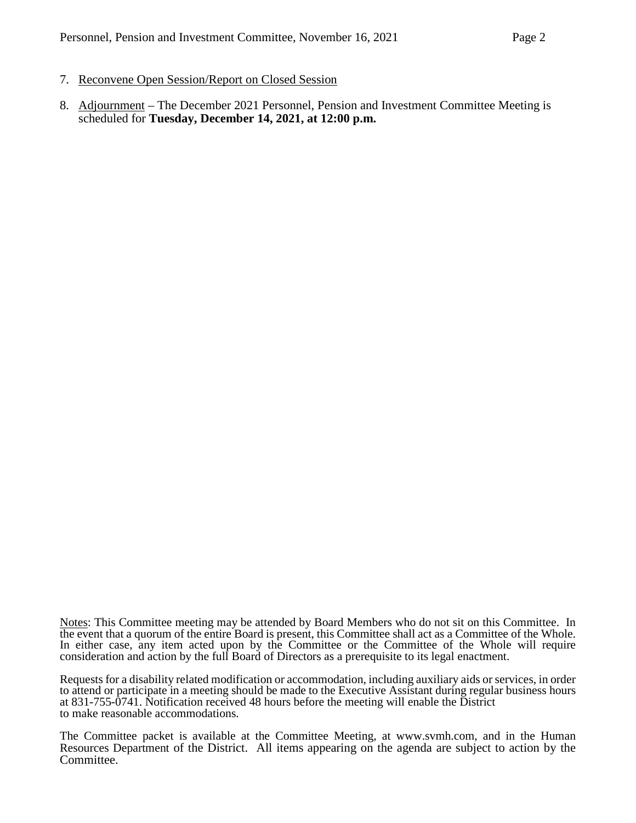- 7. Reconvene Open Session/Report on Closed Session
- 8. Adjournment The December 2021 Personnel, Pension and Investment Committee Meeting is scheduled for **Tuesday, December 14, 2021, at 12:00 p.m.**

Notes: This Committee meeting may be attended by Board Members who do not sit on this Committee. In the event that a quorum of the entire Board is present, this Committee shall act as a Committee of the Whole. In either case, any item acted upon by the Committee or the Committee of the Whole will require consideration and action by the full Board of Directors as a prerequisite to its legal enactment.

Requests for a disability related modification or accommodation, including auxiliary aids or services, in order to attend or participate in a meeting should be made to the Executive Assistant during regular business hours at 831-755-0741. Notification received 48 hours before the meeting will enable the District to make reasonable accommodations.

The Committee packet is available at the Committee Meeting, at [www.svmh.com,](http://www.svmh.com/) and in the Human Resources Department of the District. All items appearing on the agenda are subject to action by the Committee.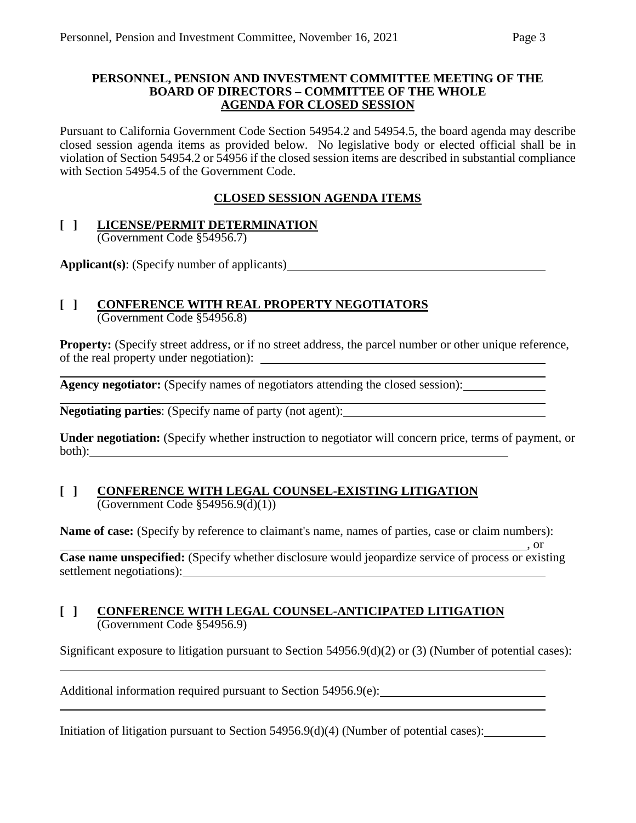#### **PERSONNEL, PENSION AND INVESTMENT COMMITTEE MEETING OF THE BOARD OF DIRECTORS – COMMITTEE OF THE WHOLE AGENDA FOR CLOSED SESSION**

Pursuant to California Government Code Section 54954.2 and 54954.5, the board agenda may describe closed session agenda items as provided below. No legislative body or elected official shall be in violation of Section 54954.2 or 54956 if the closed session items are described in substantial compliance with Section 54954.5 of the Government Code.

## **CLOSED SESSION AGENDA ITEMS**

#### **[ ] LICENSE/PERMIT DETERMINATION** (Government Code §54956.7)

**Applicant(s)**: (Specify number of applicants)

# **[ ] CONFERENCE WITH REAL PROPERTY NEGOTIATORS**

(Government Code §54956.8)

**Property:** (Specify street address, or if no street address, the parcel number or other unique reference, of the real property under negotiation):

**Agency negotiator:** (Specify names of negotiators attending the closed session):

**Negotiating parties**: (Specify name of party (not agent):

**Under negotiation:** (Specify whether instruction to negotiator will concern price, terms of payment, or both):

#### **[ ] CONFERENCE WITH LEGAL COUNSEL-EXISTING LITIGATION**  $\overline{(Government Code \$  54956.9(d)(1))}

**Name of case:** (Specify by reference to claimant's name, names of parties, case or claim numbers):

 $\frac{1}{\sqrt{2}}$ , or **Case name unspecified:** (Specify whether disclosure would jeopardize service of process or existing settlement negotiations):

#### **[ ] CONFERENCE WITH LEGAL COUNSEL-ANTICIPATED LITIGATION** (Government Code §54956.9)

Significant exposure to litigation pursuant to Section 54956.9(d)(2) or (3) (Number of potential cases):

Additional information required pursuant to Section 54956.9(e):

Initiation of litigation pursuant to Section 54956.9(d)(4) (Number of potential cases):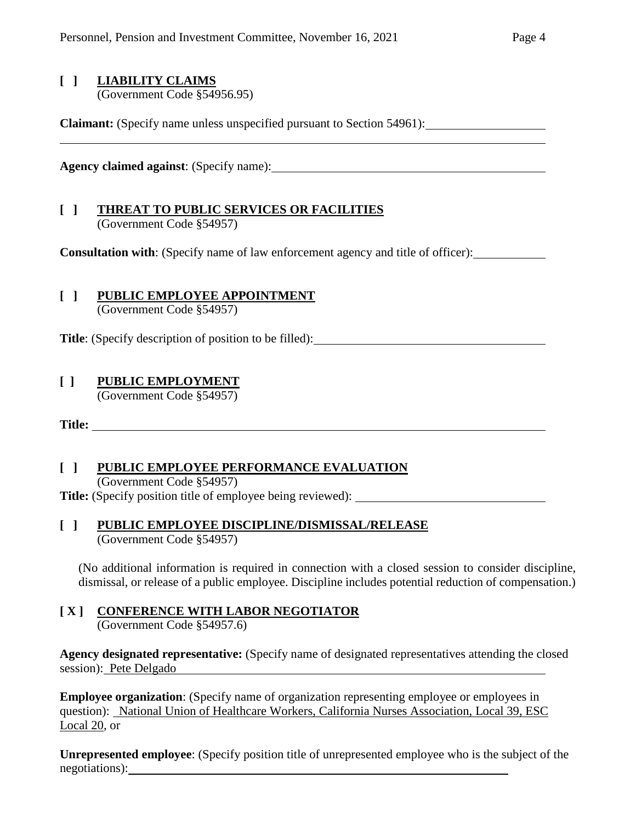# **[ ] LIABILITY CLAIMS**

(Government Code §54956.95)

**Claimant:** (Specify name unless unspecified pursuant to Section 54961):

**Agency claimed against**: (Specify name):

#### **[ ] THREAT TO PUBLIC SERVICES OR FACILITIES** (Government Code §54957)

**Consultation with**: (Specify name of law enforcement agency and title of officer):

## **[ ] PUBLIC EMPLOYEE APPOINTMENT**

(Government Code §54957)

**Title**: (Specify description of position to be filled):

## **[ ] PUBLIC EMPLOYMENT**

(Government Code §54957)

**Title:** 

## **[ ] PUBLIC EMPLOYEE PERFORMANCE EVALUATION**

(Government Code §54957)

**Title:** (Specify position title of employee being reviewed):

### **[ ] PUBLIC EMPLOYEE DISCIPLINE/DISMISSAL/RELEASE** (Government Code §54957)

(No additional information is required in connection with a closed session to consider discipline, dismissal, or release of a public employee. Discipline includes potential reduction of compensation.)

## **[ X ] CONFERENCE WITH LABOR NEGOTIATOR**

(Government Code §54957.6)

**Agency designated representative:** (Specify name of designated representatives attending the closed session): Pete Delgado

**Employee organization:** (Specify name of organization representing employee or employees in question): National Union of Healthcare Workers, California Nurses Association, Local 39, ESC Local 20, or

**Unrepresented employee**: (Specify position title of unrepresented employee who is the subject of the negotiations): <u>contained</u>